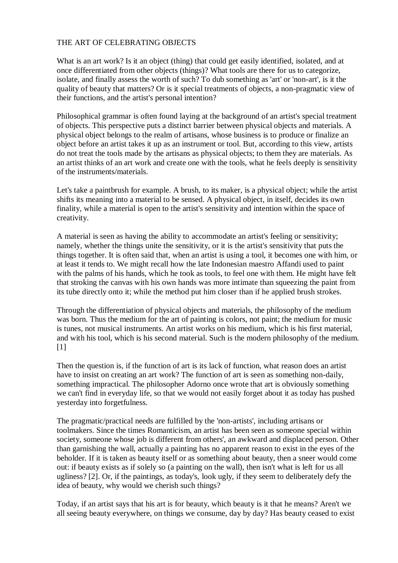## THE ART OF CELEBRATING OBJECTS

What is an art work? Is it an object (thing) that could get easily identified, isolated, and at once differentiated from other objects (things)? What tools are there for us to categorize, isolate, and finally assess the worth of such? To dub something as 'art' or 'non-art', is it the quality of beauty that matters? Or is it special treatments of objects, a non-pragmatic view of their functions, and the artist's personal intention?

Philosophical grammar is often found laying at the background of an artist's special treatment of objects. This perspective puts a distinct barrier between physical objects and materials. A physical object belongs to the realm of artisans, whose business is to produce or finalize an object before an artist takes it up as an instrument or tool. But, according to this view, artists do not treat the tools made by the artisans as physical objects; to them they are materials. As an artist thinks of an art work and create one with the tools, what he feels deeply is sensitivity of the instruments/materials.

Let's take a paintbrush for example. A brush, to its maker, is a physical object; while the artist shifts its meaning into a material to be sensed. A physical object, in itself, decides its own finality, while a material is open to the artist's sensitivity and intention within the space of creativity.

A material is seen as having the ability to accommodate an artist's feeling or sensitivity; namely, whether the things unite the sensitivity, or it is the artist's sensitivity that puts the things together. It is often said that, when an artist is using a tool, it becomes one with him, or at least it tends to. We might recall how the late Indonesian maestro Affandi used to paint with the palms of his hands, which he took as tools, to feel one with them. He might have felt that stroking the canvas with his own hands was more intimate than squeezing the paint from its tube directly onto it; while the method put him closer than if he applied brush strokes.

Through the differentiation of physical objects and materials, the philosophy of the medium was born. Thus the medium for the art of painting is colors, not paint; the medium for music is tunes, not musical instruments. An artist works on his medium, which is his first material, and with his tool, which is his second material. Such is the modern philosophy of the medium.  $[1]$ 

Then the question is, if the function of art is its lack of function, what reason does an artist have to insist on creating an art work? The function of art is seen as something non-daily, something impractical. The philosopher Adorno once wrote that art is obviously something we can't find in everyday life, so that we would not easily forget about it as today has pushed yesterday into forgetfulness.

The pragmatic/practical needs are fulfilled by the 'non-artists', including artisans or toolmakers. Since the times Romanticism, an artist has been seen as someone special within society, someone whose job is different from others', an awkward and displaced person. Other than garnishing the wall, actually a painting has no apparent reason to exist in the eyes of the beholder. If it is taken as beauty itself or as something about beauty, then a sneer would come out: if beauty exists as if solely so (a painting on the wall), then isn't what is left for us all ugliness? [2]. Or, if the paintings, as today's, look ugly, if they seem to deliberately defy the idea of beauty, why would we cherish such things?

Today, if an artist says that his art is for beauty, which beauty is it that he means? Aren't we all seeing beauty everywhere, on things we consume, day by day? Has beauty ceased to exist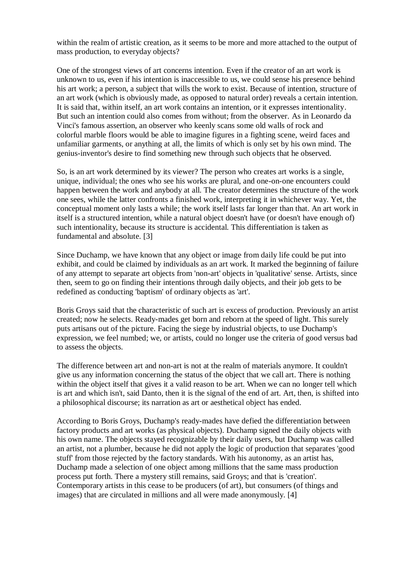within the realm of artistic creation, as it seems to be more and more attached to the output of mass production, to everyday objects?

One of the strongest views of art concerns intention. Even if the creator of an art work is unknown to us, even if his intention is inaccessible to us, we could sense his presence behind his art work; a person, a subject that wills the work to exist. Because of intention, structure of an art work (which is obviously made, as opposed to natural order) reveals a certain intention. It is said that, within itself, an art work contains an intention, or it expresses intentionality. But such an intention could also comes from without; from the observer. As in Leonardo da Vinci's famous assertion, an observer who keenly scans some old walls of rock and colorful marble floors would be able to imagine figures in a fighting scene, weird faces and unfamiliar garments, or anything at all, the limits of which is only set by his own mind. The genius-inventor's desire to find something new through such objects that he observed.

So, is an art work determined by its viewer? The person who creates art works is a single, unique, individual; the ones who see his works are plural, and one-on-one encounters could happen between the work and anybody at all. The creator determines the structure of the work one sees, while the latter confronts a finished work, interpreting it in whichever way. Yet, the conceptual moment only lasts a while; the work itself lasts far longer than that. An art work in itself is a structured intention, while a natural object doesn't have (or doesn't have enough of) such intentionality, because its structure is accidental. This differentiation is taken as fundamental and absolute. [3]

Since Duchamp, we have known that any object or image from daily life could be put into exhibit, and could be claimed by individuals as an art work. It marked the beginning of failure of any attempt to separate art objects from 'non-art' objects in 'qualitative' sense. Artists, since then, seem to go on finding their intentions through daily objects, and their job gets to be redefined as conducting 'baptism' of ordinary objects as 'art'.

Boris Groys said that the characteristic of such art is excess of production. Previously an artist created; now he selects. Ready-mades get born and reborn at the speed of light. This surely puts artisans out of the picture. Facing the siege by industrial objects, to use Duchamp's expression, we feel numbed; we, or artists, could no longer use the criteria of good versus bad to assess the objects.

The difference between art and non-art is not at the realm of materials anymore. It couldn't give us any information concerning the status of the object that we call art. There is nothing within the object itself that gives it a valid reason to be art. When we can no longer tell which is art and which isn't, said Danto, then it is the signal of the end of art. Art, then, is shifted into a philosophical discourse; its narration as art or aesthetical object has ended.

According to Boris Groys, Duchamp's ready-mades have defied the differentiation between factory products and art works (as physical objects). Duchamp signed the daily objects with his own name. The objects stayed recognizable by their daily users, but Duchamp was called an artist, not a plumber, because he did not apply the logic of production that separates 'good stuff' from those rejected by the factory standards. With his autonomy, as an artist has, Duchamp made a selection of one object among millions that the same mass production process put forth. There a mystery still remains, said Groys; and that is 'creation'. Contemporary artists in this cease to be producers (of art), but consumers (of things and images) that are circulated in millions and all were made anonymously. [4]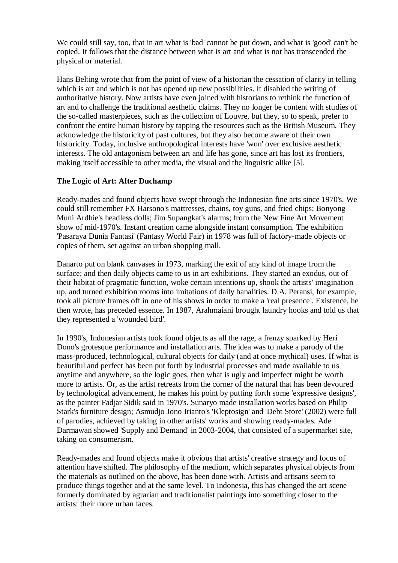We could still say, too, that in art what is 'bad' cannot be put down, and what is 'good' can't be copied. It follows that the distance between what is art and what is not has transcended the physical or material.

Hans Belting wrote that from the point of view of a historian the cessation of clarity in telling which is art and which is not has opened up new possibilities. It disabled the writing of authoritative history. Now artists have even joined with historians to rethink the function of art and to challenge the traditional aesthetic claims. They no longer be content with studies of the so-called masterpieces, such as the collection of Louvre, but they, so to speak, prefer to confront the entire human history by tapping the resources such as the British Museum. They acknowledge the historicity of past cultures, but they also become aware of their own historicity. Today, inclusive anthropological interests have 'won' over exclusive aesthetic interests. The old antagonism between art and life has gone, since art has lost its frontiers, making itself accessible to other media, the visual and the linguistic alike [5].

## **The Logic of Art: After Duchamp**

Ready-mades and found objects have swept through the Indonesian fine arts since 1970's. We could still remember FX Harsono's mattresses, chains, toy guns, and fried chips; Bonyong Muni Ardhie's headless dolls; Jim Supangkat's alarms; from the New Fine Art Movement show of mid-1970's. Instant creation came alongside instant consumption. The exhibition 'Pasaraya Dunia Fantasi' (Fantasy World Fair) in 1978 was full of factory-made objects or copies of them, set against an urban shopping mall.

Danarto put on blank canvases in 1973, marking the exit of any kind of image from the surface; and then daily objects came to us in art exhibitions. They started an exodus, out of their habitat of pragmatic function, woke certain intentions up, shook the artists' imagination up, and turned exhibition rooms into imitations of daily banalities. D.A. Peransi, for example, took all picture frames off in one of his shows in order to make a 'real presence'. Existence, he then wrote, has preceded essence. In 1987, Arahmaiani brought laundry hooks and told us that they represented a 'wounded bird'.

In 1990's, Indonesian artists took found objects as all the rage, a frenzy sparked by Heri Dono's grotesque performance and installation arts. The idea was to make a parody of the mass-produced, technological, cultural objects for daily (and at once mythical) uses. If what is beautiful and perfect has been put forth by industrial processes and made available to us anytime and anywhere, so the logic goes, then what is ugly and imperfect might be worth more to artists. Or, as the artist retreats from the corner of the natural that has been devoured by technological advancement, he makes his point by putting forth some 'expressive designs', as the painter Fadjar Sidik said in 1970's. Sunaryo made installation works based on Philip Stark's furniture design; Asmudjo Jono Irianto's 'Kleptosign' and 'Debt Store' (2002) were full of parodies, achieved by taking in other artists' works and showing ready-mades. Ade Darmawan showed 'Supply and Demand' in 2003-2004, that consisted of a supermarket site, taking on consumerism.

Ready-mades and found objects make it obvious that artists' creative strategy and focus of attention have shifted. The philosophy of the medium, which separates physical objects from the materials as outlined on the above, has been done with. Artists and artisans seem to produce things together and at the same level. To Indonesia, this has changed the art scene formerly dominated by agrarian and traditionalist paintings into something closer to the artists: their more urban faces.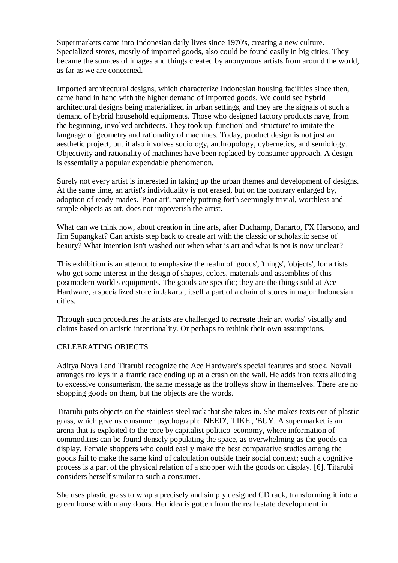Supermarkets came into Indonesian daily lives since 1970's, creating a new culture. Specialized stores, mostly of imported goods, also could be found easily in big cities. They became the sources of images and things created by anonymous artists from around the world, as far as we are concerned.

Imported architectural designs, which characterize Indonesian housing facilities since then, came hand in hand with the higher demand of imported goods. We could see hybrid architectural designs being materialized in urban settings, and they are the signals of such a demand of hybrid household equipments. Those who designed factory products have, from the beginning, involved architects. They took up 'function' and 'structure' to imitate the language of geometry and rationality of machines. Today, product design is not just an aesthetic project, but it also involves sociology, anthropology, cybernetics, and semiology. Objectivity and rationality of machines have been replaced by consumer approach. A design is essentially a popular expendable phenomenon.

Surely not every artist is interested in taking up the urban themes and development of designs. At the same time, an artist's individuality is not erased, but on the contrary enlarged by, adoption of ready-mades. 'Poor art', namely putting forth seemingly trivial, worthless and simple objects as art, does not impoverish the artist.

What can we think now, about creation in fine arts, after Duchamp, Danarto, FX Harsono, and Jim Supangkat? Can artists step back to create art with the classic or scholastic sense of beauty? What intention isn't washed out when what is art and what is not is now unclear?

This exhibition is an attempt to emphasize the realm of 'goods', 'things', 'objects', for artists who got some interest in the design of shapes, colors, materials and assemblies of this postmodern world's equipments. The goods are specific; they are the things sold at Ace Hardware, a specialized store in Jakarta, itself a part of a chain of stores in major Indonesian cities.

Through such procedures the artists are challenged to recreate their art works' visually and claims based on artistic intentionality. Or perhaps to rethink their own assumptions.

## CELEBRATING OBJECTS

Aditya Novali and Titarubi recognize the Ace Hardware's special features and stock. Novali arranges trolleys in a frantic race ending up at a crash on the wall. He adds iron texts alluding to excessive consumerism, the same message as the trolleys show in themselves. There are no shopping goods on them, but the objects are the words.

Titarubi puts objects on the stainless steel rack that she takes in. She makes texts out of plastic grass, which give us consumer psychograph: 'NEED', 'LIKE', 'BUY. A supermarket is an arena that is exploited to the core by capitalist politico-economy, where information of commodities can be found densely populating the space, as overwhelming as the goods on display. Female shoppers who could easily make the best comparative studies among the goods fail to make the same kind of calculation outside their social context; such a cognitive process is a part of the physical relation of a shopper with the goods on display. [6]. Titarubi considers herself similar to such a consumer.

She uses plastic grass to wrap a precisely and simply designed CD rack, transforming it into a green house with many doors. Her idea is gotten from the real estate development in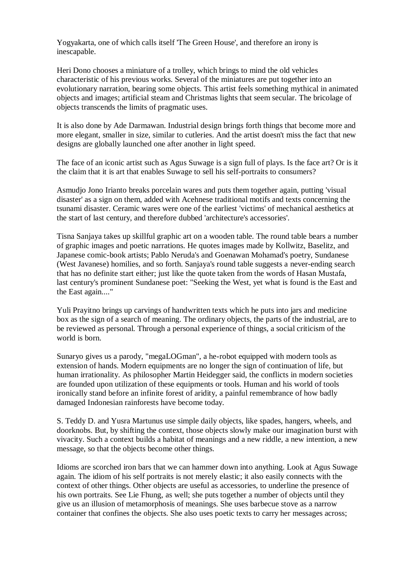Yogyakarta, one of which calls itself 'The Green House', and therefore an irony is inescapable.

Heri Dono chooses a miniature of a trolley, which brings to mind the old vehicles characteristic of his previous works. Several of the miniatures are put together into an evolutionary narration, bearing some objects. This artist feels something mythical in animated objects and images; artificial steam and Christmas lights that seem secular. The bricolage of objects transcends the limits of pragmatic uses.

It is also done by Ade Darmawan. Industrial design brings forth things that become more and more elegant, smaller in size, similar to cutleries. And the artist doesn't miss the fact that new designs are globally launched one after another in light speed.

The face of an iconic artist such as Agus Suwage is a sign full of plays. Is the face art? Or is it the claim that it is art that enables Suwage to sell his self-portraits to consumers?

Asmudjo Jono Irianto breaks porcelain wares and puts them together again, putting 'visual disaster' as a sign on them, added with Acehnese traditional motifs and texts concerning the tsunami disaster. Ceramic wares were one of the earliest 'victims' of mechanical aesthetics at the start of last century, and therefore dubbed 'architecture's accessories'.

Tisna Sanjaya takes up skillful graphic art on a wooden table. The round table bears a number of graphic images and poetic narrations. He quotes images made by Kollwitz, Baselitz, and Japanese comic-book artists; Pablo Neruda's and Goenawan Mohamad's poetry, Sundanese (West Javanese) homilies, and so forth. Sanjaya's round table suggests a never-ending search that has no definite start either; just like the quote taken from the words of Hasan Mustafa, last century's prominent Sundanese poet: "Seeking the West, yet what is found is the East and the East again...."

Yuli Prayitno brings up carvings of handwritten texts which he puts into jars and medicine box as the sign of a search of meaning. The ordinary objects, the parts of the industrial, are to be reviewed as personal. Through a personal experience of things, a social criticism of the world is born.

Sunaryo gives us a parody, "megaLOGman", a he-robot equipped with modern tools as extension of hands. Modern equipments are no longer the sign of continuation of life, but human irrationality. As philosopher Martin Heidegger said, the conflicts in modern societies are founded upon utilization of these equipments or tools. Human and his world of tools ironically stand before an infinite forest of aridity, a painful remembrance of how badly damaged Indonesian rainforests have become today.

S. Teddy D. and Yusra Martunus use simple daily objects, like spades, hangers, wheels, and doorknobs. But, by shifting the context, those objects slowly make our imagination burst with vivacity. Such a context builds a habitat of meanings and a new riddle, a new intention, a new message, so that the objects become other things.

Idioms are scorched iron bars that we can hammer down into anything. Look at Agus Suwage again. The idiom of his self portraits is not merely elastic; it also easily connects with the context of other things. Other objects are useful as accessories, to underline the presence of his own portraits. See Lie Fhung, as well; she puts together a number of objects until they give us an illusion of metamorphosis of meanings. She uses barbecue stove as a narrow container that confines the objects. She also uses poetic texts to carry her messages across;